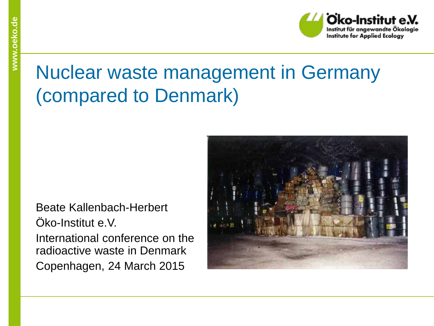## Nuclear waste management in Germany (compared to Denmark)

Beate Kallenbach-Herbert Öko-Institut e.V. International conference on the radioactive waste in Denmark Copenhagen, 24 March 2015

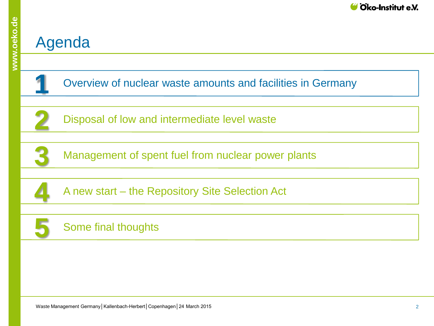#### Agenda

 Overview of nuclear waste amounts and facilities in Germany Management of spent fuel from nuclear power plants A new start – the Repository Site Selection Act Some final thoughts Disposal of low and intermediate level waste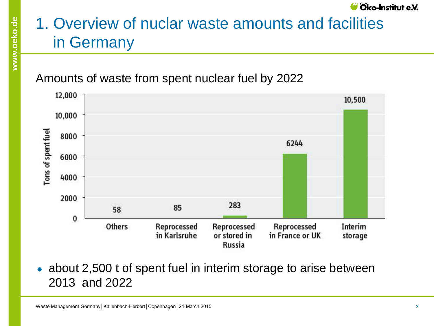## 1. Overview of nuclar waste amounts and facilities in Germany

#### Amounts of waste from spent nuclear fuel by 2022



about 2,500 t of spent fuel in interim storage to arise between 2013 and 2022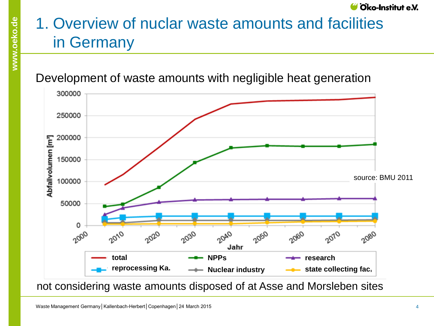## 1. Overview of nuclar waste amounts and facilities in Germany

Development of waste amounts with negligible heat generation



not considering waste amounts disposed of at Asse and Morsleben sites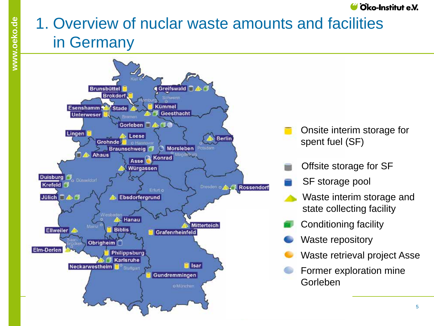## 1. Overview of nuclar waste amounts and facilities in Germany

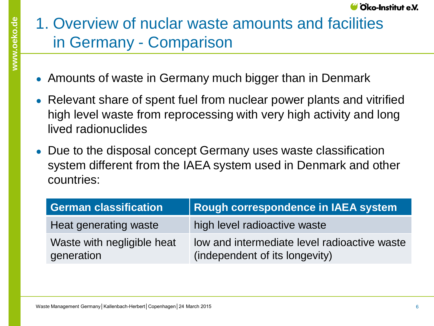## 1. Overview of nuclar waste amounts and facilities in Germany - Comparison

- Amounts of waste in Germany much bigger than in Denmark
- Relevant share of spent fuel from nuclear power plants and vitrified high level waste from reprocessing with very high activity and long lived radionuclides
- Due to the disposal concept Germany uses waste classification system different from the IAEA system used in Denmark and other countries:

| <b>German classification</b>             | Rough correspondence in IAEA system                                            |
|------------------------------------------|--------------------------------------------------------------------------------|
| Heat generating waste                    | high level radioactive waste                                                   |
| Waste with negligible heat<br>generation | low and intermediate level radioactive waste<br>(independent of its longevity) |

Cko-Institut e.V.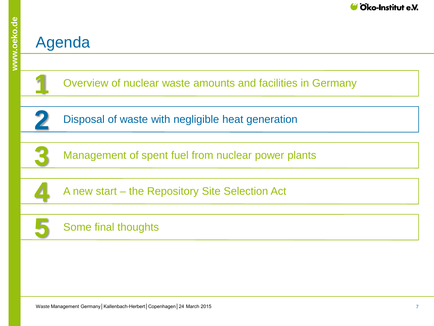#### Agenda

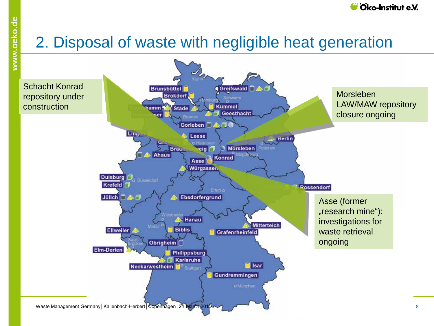## 2. Disposal of waste with negligible heat generation

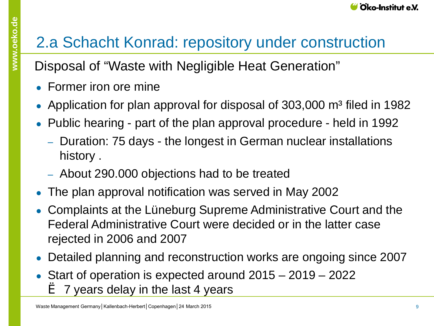## 2.a Schacht Konrad: repository under construction

Disposal of "Waste with Negligible Heat Generation"

- $\bullet$  Former iron ore mine
- Application for plan approval for disposal of  $303,000$  m<sup>3</sup> filed in 1982
- Public hearing part of the plan approval procedure held in 1992
	- ‒ Duration: 75 days the longest in German nuclear installations history .
	- ‒ About 290.000 objections had to be treated
- The plan approval notification was served in May 2002
- Complaints at the Lüneburg Supreme Administrative Court and the Federal Administrative Court were decided or in the latter case rejected in 2006 and 2007
- Detailed planning and reconstruction works are ongoing since 2007
- Start of operation is expected around  $2015 2019 2022$  $\geq 7$  years delay in the last 4 years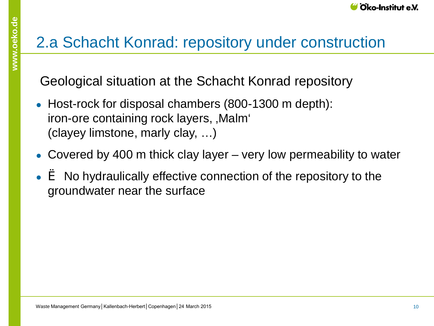#### 2.a Schacht Konrad: repository under construction

Geological situation at the Schacht Konrad repository

- Host-rock for disposal chambers (800-1300 m depth): iron-ore containing rock layers, , Malm<sup>ou</sup> (clayey limstone, marly clay, …)
- Covered by 400 m thick clay layer very low permeability to water
- $\bullet\ \dot{\bullet}$  No hydraulically effective connection of the repository to the groundwater near the surface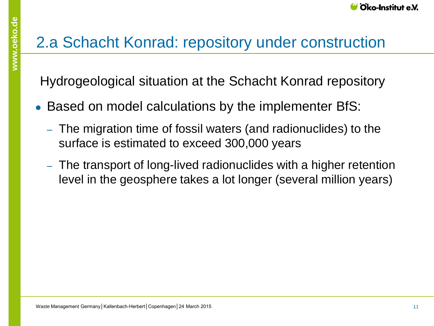## 2.a Schacht Konrad: repository under construction

Hydrogeological situation at the Schacht Konrad repository

- Based on model calculations by the implementer BfS:
	- ‒ The migration time of fossil waters (and radionuclides) to the surface is estimated to exceed 300,000 years
	- ‒ The transport of long-lived radionuclides with a higher retention level in the geosphere takes a lot longer (several million years)

**www.oeko.de**

www.oeko.de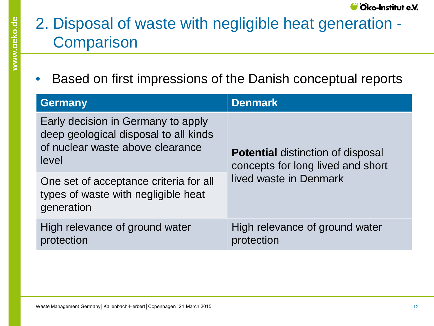### 2. Disposal of waste with negligible heat generation - **Comparison**

• Based on first impressions of the Danish conceptual reports

| <b>Germany</b>                                                                                                           | <b>Denmark</b>                                                                |  |  |
|--------------------------------------------------------------------------------------------------------------------------|-------------------------------------------------------------------------------|--|--|
| Early decision in Germany to apply<br>deep geological disposal to all kinds<br>of nuclear waste above clearance<br>level | <b>Potential distinction of disposal</b><br>concepts for long lived and short |  |  |
| One set of acceptance criteria for all<br>types of waste with negligible heat<br>generation                              | lived waste in Denmark                                                        |  |  |
| High relevance of ground water<br>protection                                                                             | High relevance of ground water<br>protection                                  |  |  |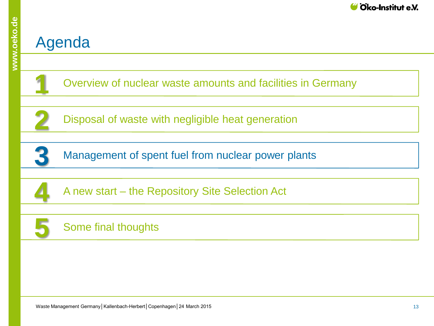#### Agenda

 Overview of nuclear waste amounts and facilities in Germany Management of spent fuel from nuclear power plants A new start – the Repository Site Selection Act Some final thoughts Disposal of waste with negligible heat generation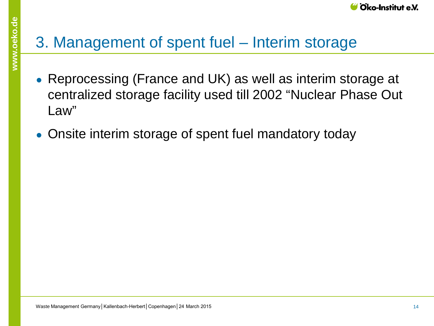## 3. Management of spent fuel – Interim storage

- Reprocessing (France and UK) as well as interim storage at centralized storage facility used till 2002 "Nuclear Phase Out Law"
- Onsite interim storage of spent fuel mandatory today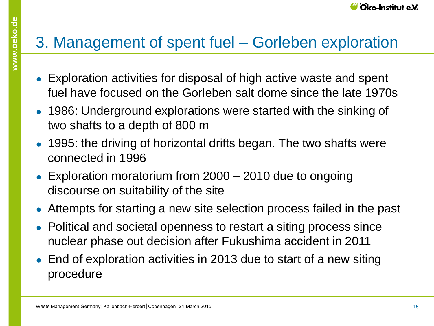## 3. Management of spent fuel – Gorleben exploration

- Exploration activities for disposal of high active waste and spent fuel have focused on the Gorleben salt dome since the late 1970s
- 1986: Underground explorations were started with the sinking of two shafts to a depth of 800 m
- 1995: the driving of horizontal drifts began. The two shafts were connected in 1996
- Exploration moratorium from  $2000 2010$  due to ongoing discourse on suitability of the site
- Attempts for starting a new site selection process failed in the past
- Political and societal openness to restart a siting process since nuclear phase out decision after Fukushima accident in 2011
- End of exploration activities in 2013 due to start of a new siting procedure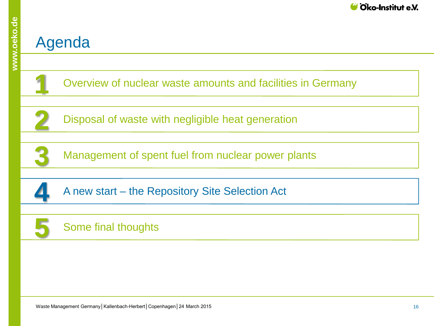#### Agenda

 Overview of nuclear waste amounts and facilities in Germany Management of spent fuel from nuclear power plants A new start – the Repository Site Selection Act Disposal of waste with negligible heat generation Some final thoughts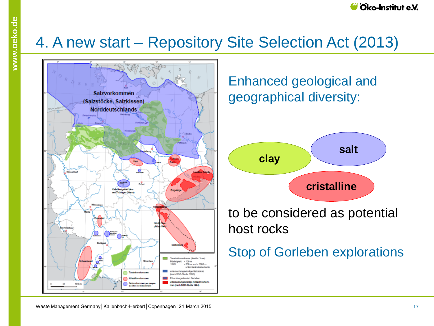#### 4. A new start – Repository Site Selection Act (2013)



Enhanced geological and geographical diversity:



to be considered as potential host rocks

Stop of Gorleben explorations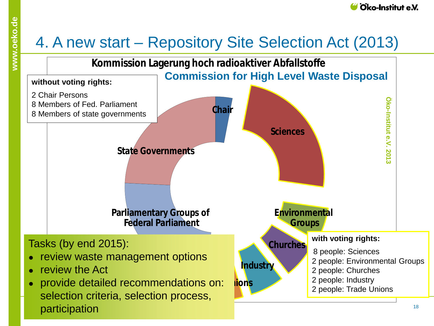#### 4. A new start – Repository Site Selection Act (2013)

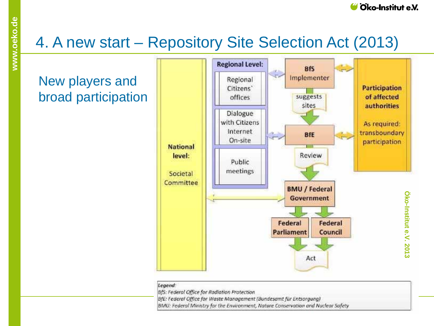

# www.oeko.de **www.oeko.de**

## 4. A new start – Repository Site Selection Act (2013)

#### New players and broad participation



| Legend: |  |  |  |
|---------|--|--|--|
|         |  |  |  |
|         |  |  |  |

BfS: Federal Office for Radiation Protection

BfE: Federal Office for Waste Management (Bundesamt für Entsorgung)

BMU: Federal Ministry for the Environment, Nature Conservation and Nuclear Safety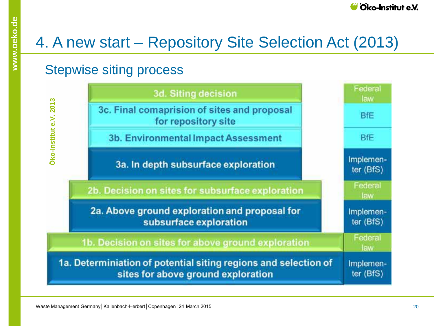## 4. A new start – Repository Site Selection Act (2013)

#### Stepwise siting process

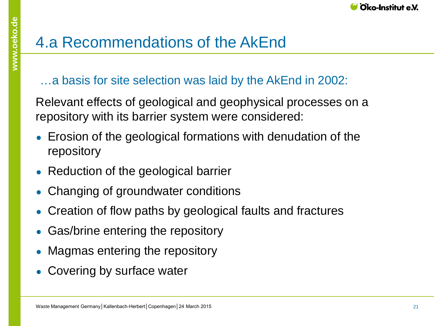

…a basis for site selection was laid by the AkEnd in 2002:

Relevant effects of geological and geophysical processes on a repository with its barrier system were considered:

- Erosion of the geological formations with denudation of the repository
- Reduction of the geological barrier
- Changing of groundwater conditions
- Creation of flow paths by geological faults and fractures
- Gas/brine entering the repository
- Magmas entering the repository
- Covering by surface water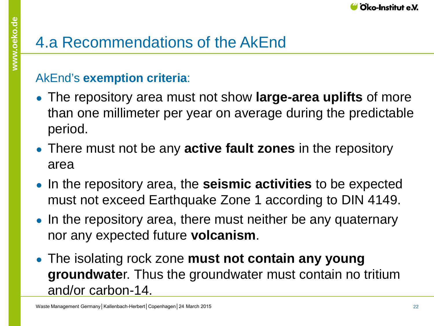#### AkEnd's **exemption criteria**:

- The repository area must not show **large-area uplifts** of more than one millimeter per year on average during the predictable period.
- There must not be any **active fault zones** in the repository area
- In the repository area, the **seismic activities** to be expected must not exceed Earthquake Zone 1 according to DIN 4149.
- In the repository area, there must neither be any quaternary nor any expected future **volcanism**.
- The isolating rock zone **must not contain any young groundwate**r. Thus the groundwater must contain no tritium and/or carbon-14.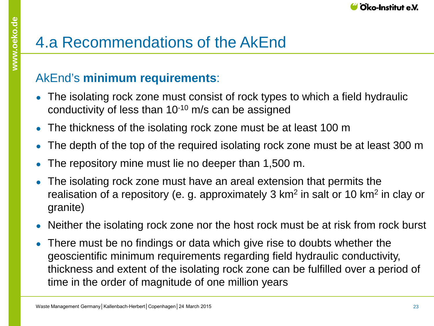## 4.a Recommendations of the AkEnd

#### AkEnd's **minimum requirements**:

- The isolating rock zone must consist of rock types to which a field hydraulic conductivity of less than 10-10 m/s can be assigned
- The thickness of the isolating rock zone must be at least 100 m
- The depth of the top of the required isolating rock zone must be at least 300 m
- The repository mine must lie no deeper than 1,500 m.
- The isolating rock zone must have an areal extension that permits the realisation of a repository (e. g. approximately 3  $km<sup>2</sup>$  in salt or 10 km<sup>2</sup> in clay or granite)
- Neither the isolating rock zone nor the host rock must be at risk from rock burst
- There must be no findings or data which give rise to doubts whether the geoscientific minimum requirements regarding field hydraulic conductivity, thickness and extent of the isolating rock zone can be fulfilled over a period of time in the order of magnitude of one million years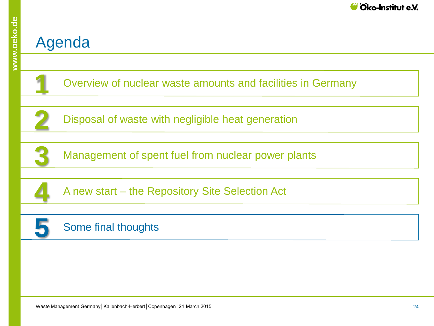#### Agenda

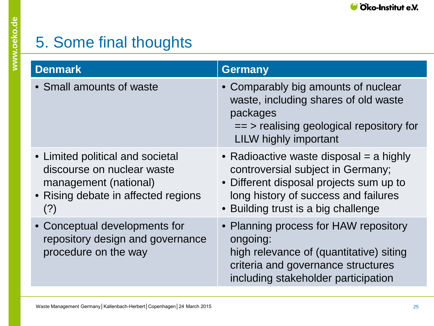## 5. Some final thoughts

| <b>Denmark</b>                                                                                                                        | <b>Germany</b>                                                                                                                                                                                           |
|---------------------------------------------------------------------------------------------------------------------------------------|----------------------------------------------------------------------------------------------------------------------------------------------------------------------------------------------------------|
| • Small amounts of waste                                                                                                              | • Comparably big amounts of nuclear<br>waste, including shares of old waste<br>packages<br>$==$ > realising geological repository for<br><b>LILW highly important</b>                                    |
| • Limited political and societal<br>discourse on nuclear waste<br>management (national)<br>• Rising debate in affected regions<br>(?) | • Radioactive waste disposal $=$ a highly<br>controversial subject in Germany;<br>• Different disposal projects sum up to<br>long history of success and failures<br>• Building trust is a big challenge |
| • Conceptual developments for<br>repository design and governance<br>procedure on the way                                             | • Planning process for HAW repository<br>ongoing:<br>high relevance of (quantitative) siting<br>criteria and governance structures<br>including stakeholder participation                                |